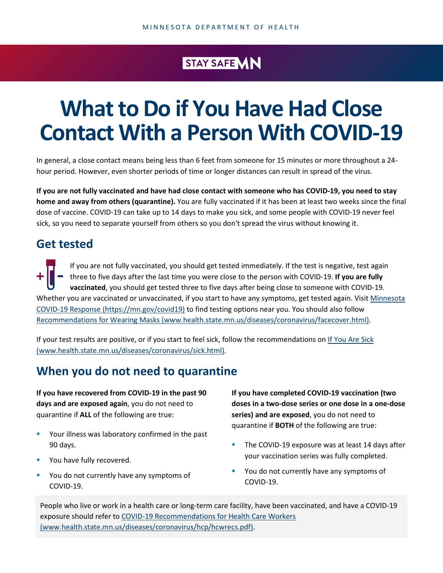## STAY SAFE **MN**

# **What to Do if You Have Had Close Contact With a Person With COVID-19**

In general, a close contact means being less than 6 feet from someone for 15 minutes or more throughout a 24 hour period. However, even shorter periods of time or longer distances can result in spread of the virus.

**If you are not fully vaccinated and have had close contact with someone who has COVID-19, you need to stay home and away from others (quarantine).** You are fully vaccinated if it has been at least two weeks since the final dose of vaccine. COVID-19 can take up to 14 days to make you sick, and some people with COVID-19 never feel sick, so you need to separate yourself from others so you don't spread the virus without knowing it.

## **Get tested**

If you are not fully vaccinated, you should get tested immediately. If the test is negative, test again three to five days after the last time you were close to the person with COVID-19. **If you are fully vaccinated**, you should get tested three to five days after being close to someone with COVID-19. Whether you are vaccinated or unvaccinated, if you start to have any symptoms, get tested again. Visit Minnesota [COVID-19 Response \(https://mn.gov/covid19\)](https://mn.gov/covid19) to find testing options near you. You should also follow [Recommendations for Wearing Masks \(www.health.state.mn.us/diseases/coronavirus/facecover.html\).](https://www.health.state.mn.us/diseases/coronavirus/facecover.html)

If your test results are positive, or if you start to feel sick, follow the recommendations on [If You Are Sick](https://www.health.state.mn.us/diseases/coronavirus/sick.html)  [\(www.health.state.mn.us/diseases/coronavirus/sick.html\).](https://www.health.state.mn.us/diseases/coronavirus/sick.html)

## **When you do not need to quarantine**

**If you have recovered from COVID-19 in the past 90 days and are exposed again**, you do not need to quarantine if **ALL** of the following are true:

- **Your illness was laboratory confirmed in the past** 90 days.
- **You have fully recovered.**
- **Part 20 You do not currently have any symptoms of** COVID-19.

**If you have completed COVID-19 vaccination (two doses in a two-dose series or one dose in a one-dose series) and are exposed**, you do not need to quarantine if **BOTH** of the following are true:

- The COVID-19 exposure was at least 14 days after your vaccination series was fully completed.
- **Part 20 You do not currently have any symptoms of** COVID-19.

People who live or work in a health care or long-term care facility, have been vaccinated, and have a COVID-19 exposure should refer to [COVID-19 Recommendations for Health Care Workers](https://www.health.state.mn.us/diseases/coronavirus/hcp/hcwrecs.pdf)  [\(www.health.state.mn.us/diseases/coronavirus/hcp/hcwrecs.pdf\).](https://www.health.state.mn.us/diseases/coronavirus/hcp/hcwrecs.pdf)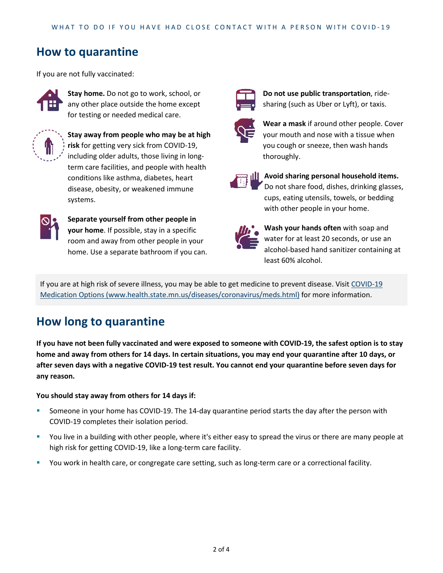## **How to quarantine**

If you are not fully vaccinated:



**Stay home.** Do not go to work, school, or any other place outside the home except for testing or needed medical care.



**Stay away from people who may be at high risk** for getting very sick from COVID-19, including older adults, those living in longterm care facilities, and people with health conditions like asthma, diabetes, heart disease, obesity, or weakened immune systems.



**Separate yourself from other people in your home**. If possible, stay in a specific room and away from other people in your home. Use a separate bathroom if you can.



**Do not use public transportation**, ridesharing (such as Uber or Lyft), or taxis.



**Wear a mask** if around other people. Cover your mouth and nose with a tissue when you cough or sneeze, then wash hands thoroughly.



**Avoid sharing personal household items.** Do not share food, dishes, drinking glasses, cups, eating utensils, towels, or bedding with other people in your home.



**Wash your hands often** with soap and water for at least 20 seconds, or use an alcohol-based hand sanitizer containing at least 60% alcohol.

If you are at high risk of severe illness, you may be able to get medicine to prevent disease. Visi[t COVID-19](https://www.health.state.mn.us/diseases/coronavirus/meds.html)  [Medication Options \(www.health.state.mn.us/diseases/coronavirus/meds.html\)](https://www.health.state.mn.us/diseases/coronavirus/meds.html) for more information.

## **How long to quarantine**

**If you have not been fully vaccinated and were exposed to someone with COVID-19, the safest option is to stay home and away from others for 14 days. In certain situations, you may end your quarantine after 10 days, or after seven days with a negative COVID-19 test result. You cannot end your quarantine before seven days for any reason.**

#### **You should stay away from others for 14 days if:**

- Someone in your home has COVID-19. The 14-day quarantine period starts the day after the person with COVID-19 completes their isolation period.
- You live in a building with other people, where it's either easy to spread the virus or there are many people at high risk for getting COVID-19, like a long-term care facility.
- **You work in health care, or congregate care setting, such as long-term care or a correctional facility.**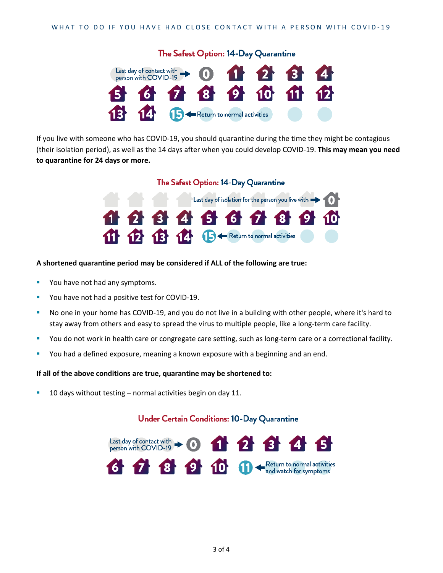

If you live with someone who has COVID-19, you should quarantine during the time they might be contagious (their isolation period), as well as the 14 days after when you could develop COVID-19. **This may mean you need to quarantine for 24 days or more.**

#### The Safest Option: 14-Day Quarantine



#### **A shortened quarantine period may be considered if ALL of the following are true:**

- **Part You have not had any symptoms.**
- **P** You have not had a positive test for COVID-19.
- No one in your home has COVID-19, and you do not live in a building with other people, where it's hard to stay away from others and easy to spread the virus to multiple people, like a long-term care facility.
- You do not work in health care or congregate care setting, such as long-term care or a correctional facility.
- You had a defined exposure, meaning a known exposure with a beginning and an end.

#### **If all of the above conditions are true, quarantine may be shortened to:**

10 days without testing **–** normal activities begin on day 11.

#### **Under Certain Conditions: 10-Day Quarantine**